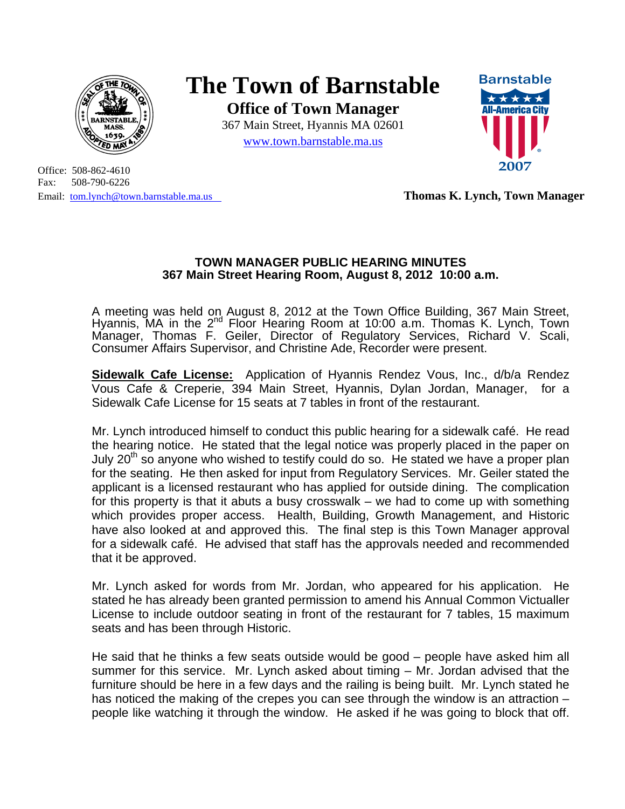

## **The Town of Barnstable**

**Office of Town Manager**  367 Main Street, Hyannis MA 02601

www.town.barnstable.ma.us

Office: 508-862-4610 Fax: 508-790-6226

## Email: tom.lynch@town.barnstable.ma.us **Thomas K. Lynch, Town Manager**

## **TOWN MANAGER PUBLIC HEARING MINUTES 367 Main Street Hearing Room, August 8, 2012 10:00 a.m.**

A meeting was held on August 8, 2012 at the Town Office Building, 367 Main Street, Hyannis, MA in the 2nd Floor Hearing Room at 10:00 a.m. Thomas K. Lynch, Town Manager, Thomas F. Geiler, Director of Regulatory Services, Richard V. Scali, Consumer Affairs Supervisor, and Christine Ade, Recorder were present.

**Sidewalk Cafe License:** Application of Hyannis Rendez Vous, Inc., d/b/a Rendez Vous Cafe & Creperie, 394 Main Street, Hyannis, Dylan Jordan, Manager, for a Sidewalk Cafe License for 15 seats at 7 tables in front of the restaurant.

Mr. Lynch introduced himself to conduct this public hearing for a sidewalk café. He read the hearing notice. He stated that the legal notice was properly placed in the paper on July 20 $^{\rm m}$  so anyone who wished to testify could do so. He stated we have a proper plan for the seating. He then asked for input from Regulatory Services. Mr. Geiler stated the applicant is a licensed restaurant who has applied for outside dining. The complication for this property is that it abuts a busy crosswalk – we had to come up with something which provides proper access. Health, Building, Growth Management, and Historic have also looked at and approved this. The final step is this Town Manager approval for a sidewalk café. He advised that staff has the approvals needed and recommended that it be approved.

Mr. Lynch asked for words from Mr. Jordan, who appeared for his application. He stated he has already been granted permission to amend his Annual Common Victualler License to include outdoor seating in front of the restaurant for 7 tables, 15 maximum seats and has been through Historic.

He said that he thinks a few seats outside would be good – people have asked him all summer for this service. Mr. Lynch asked about timing – Mr. Jordan advised that the furniture should be here in a few days and the railing is being built. Mr. Lynch stated he has noticed the making of the crepes you can see through the window is an attraction – people like watching it through the window. He asked if he was going to block that off.